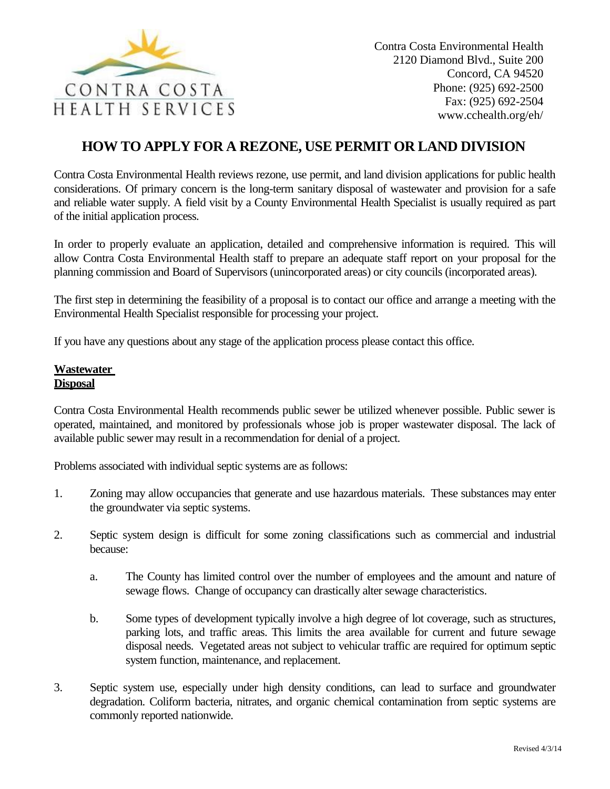

# **HOW TO APPLY FOR A REZONE, USE PERMIT OR LAND DIVISION**

Contra Costa Environmental Health reviews rezone, use permit, and land division applications for public health considerations. Of primary concern is the long-term sanitary disposal of wastewater and provision for a safe and reliable water supply. A field visit by a County Environmental Health Specialist is usually required as part of the initial application process.

In order to properly evaluate an application, detailed and comprehensive information is required. This will allow Contra Costa Environmental Health staff to prepare an adequate staff report on your proposal for the planning commission and Board of Supervisors (unincorporated areas) or city councils (incorporated areas).

The first step in determining the feasibility of a proposal is to contact our office and arrange a meeting with the Environmental Health Specialist responsible for processing your project.

If you have any questions about any stage of the application process please contact this office.

## **Wastewater Disposal**

Contra Costa Environmental Health recommends public sewer be utilized whenever possible. Public sewer is operated, maintained, and monitored by professionals whose job is proper wastewater disposal. The lack of available public sewer may result in a recommendation for denial of a project.

Problems associated with individual septic systems are as follows:

- 1. Zoning may allow occupancies that generate and use hazardous materials. These substances may enter the groundwater via septic systems.
- 2. Septic system design is difficult for some zoning classifications such as commercial and industrial because:
	- a. The County has limited control over the number of employees and the amount and nature of sewage flows. Change of occupancy can drastically alter sewage characteristics.
	- b. Some types of development typically involve a high degree of lot coverage, such as structures, parking lots, and traffic areas. This limits the area available for current and future sewage disposal needs. Vegetated areas not subject to vehicular traffic are required for optimum septic system function, maintenance, and replacement.
- 3. Septic system use, especially under high density conditions, can lead to surface and groundwater degradation. Coliform bacteria, nitrates, and organic chemical contamination from septic systems are commonly reported nationwide.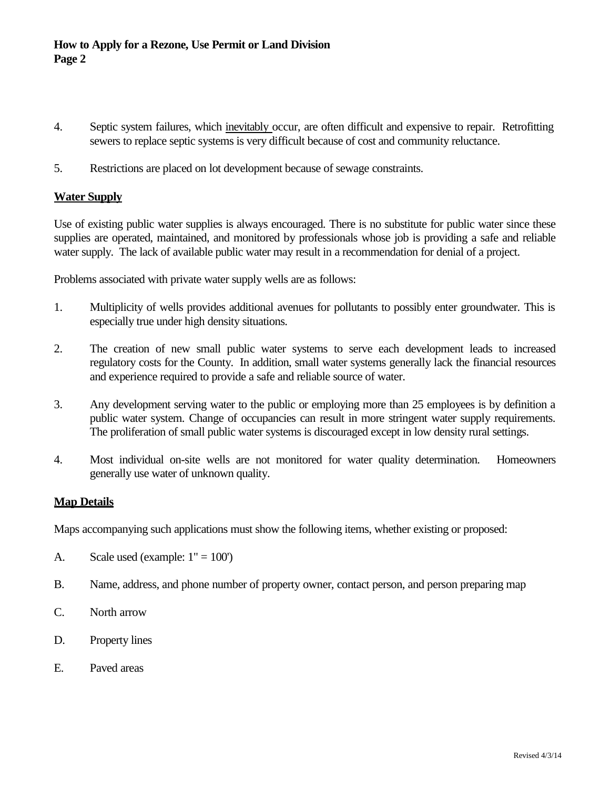- 4. Septic system failures, which inevitably occur, are often difficult and expensive to repair. Retrofitting sewers to replace septic systems is very difficult because of cost and community reluctance.
- 5. Restrictions are placed on lot development because of sewage constraints.

#### **Water Supply**

Use of existing public water supplies is always encouraged. There is no substitute for public water since these supplies are operated, maintained, and monitored by professionals whose job is providing a safe and reliable water supply. The lack of available public water may result in a recommendation for denial of a project.

Problems associated with private water supply wells are as follows:

- 1. Multiplicity of wells provides additional avenues for pollutants to possibly enter groundwater. This is especially true under high density situations.
- 2. The creation of new small public water systems to serve each development leads to increased regulatory costs for the County. In addition, small water systems generally lack the financial resources and experience required to provide a safe and reliable source of water.
- 3. Any development serving water to the public or employing more than 25 employees is by definition a public water system. Change of occupancies can result in more stringent water supply requirements. The proliferation of small public water systems is discouraged except in low density rural settings.
- 4. Most individual on-site wells are not monitored for water quality determination. Homeowners generally use water of unknown quality.

## **Map Details**

Maps accompanying such applications must show the following items, whether existing or proposed:

- A. Scale used (example:  $1" = 100'$ )
- B. Name, address, and phone number of property owner, contact person, and person preparing map
- C. North arrow
- D. Property lines
- E. Paved areas